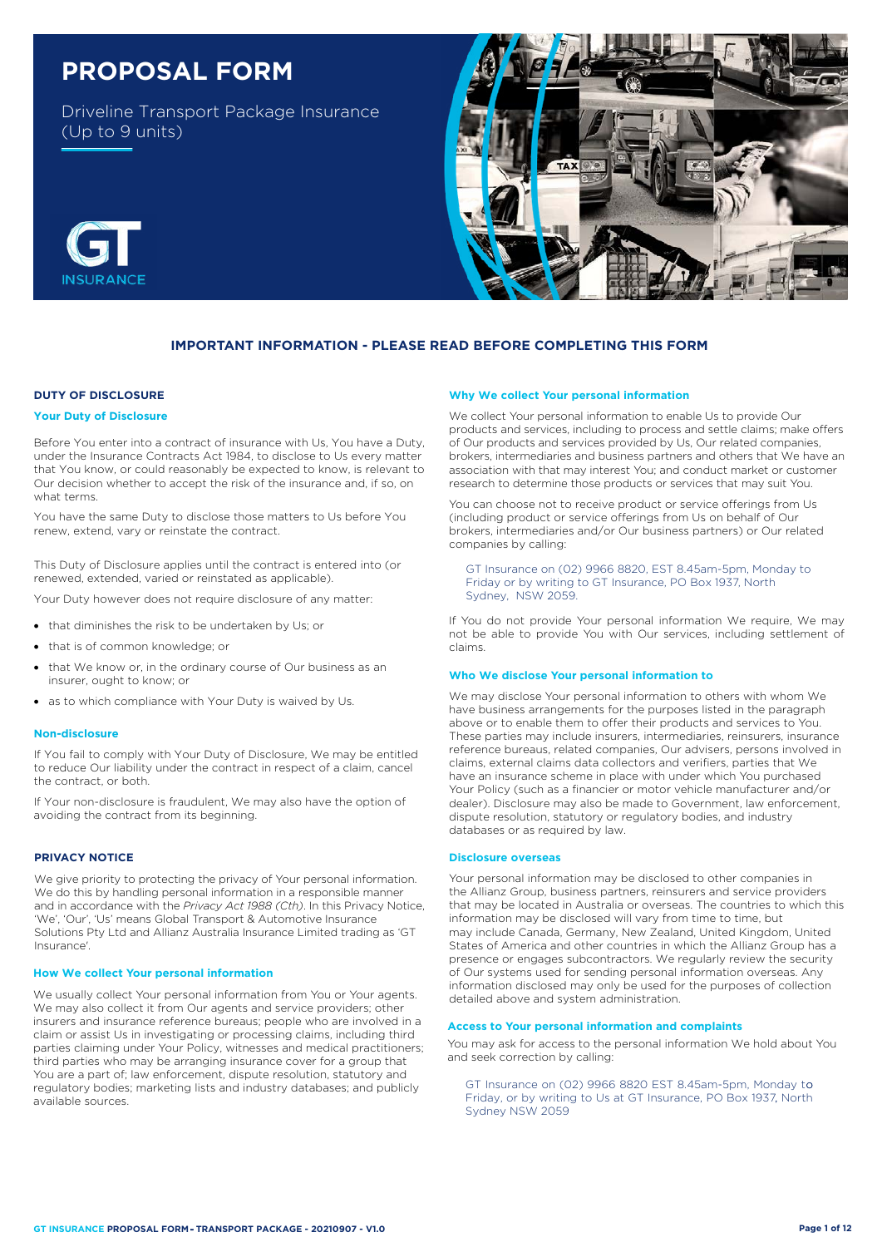# **PROPOSAL FORM**

Driveline Transport Package Insurance (Up to 9 units)



## **IMPORTANT INFORMATION - PLEASE READ BEFORE COMPLETING THIS FORM**

## **DUTY OF DISCLOSURE**

#### **Your Duty of Disclosure**

Before You enter into a contract of insurance with Us, You have a Duty, under the Insurance Contracts Act 1984, to disclose to Us every matter that You know, or could reasonably be expected to know, is relevant to Our decision whether to accept the risk of the insurance and, if so, on what terms.

You have the same Duty to disclose those matters to Us before You renew, extend, vary or reinstate the contract.

This Duty of Disclosure applies until the contract is entered into (or renewed, extended, varied or reinstated as applicable).

Your Duty however does not require disclosure of any matter:

- that diminishes the risk to be undertaken by Us; or
- that is of common knowledge; or
- that We know or, in the ordinary course of Our business as an insurer, ought to know; or
- as to which compliance with Your Duty is waived by Us.

#### **Non-disclosure**

If You fail to comply with Your Duty of Disclosure, We may be entitled to reduce Our liability under the contract in respect of a claim, cancel the contract, or both.

If Your non-disclosure is fraudulent, We may also have the option of avoiding the contract from its beginning.

#### **PRIVACY NOTICE**

We give priority to protecting the privacy of Your personal information. We do this by handling personal information in a responsible manner and in accordance with the *Privacy Act 1988 (Cth)*. In this Privacy Notice, 'We', 'Our', 'Us' means Global Transport & Automotive Insurance Solutions Pty Ltd and Allianz Australia Insurance Limited trading as 'GT Insurance'.

#### **How We collect Your personal information**

We usually collect Your personal information from You or Your agents. We may also collect it from Our agents and service providers; other insurers and insurance reference bureaus; people who are involved in a claim or assist Us in investigating or processing claims, including third parties claiming under Your Policy, witnesses and medical practitioners; third parties who may be arranging insurance cover for a group that You are a part of; law enforcement, dispute resolution, statutory and regulatory bodies; marketing lists and industry databases; and publicly available sources.

#### **Why We collect Your personal information**

We collect Your personal information to enable Us to provide Our products and services, including to process and settle claims; make offers of Our products and services provided by Us, Our related companies, brokers, intermediaries and business partners and others that We have an association with that may interest You; and conduct market or customer research to determine those products or services that may suit You.

You can choose not to receive product or service offerings from Us (including product or service offerings from Us on behalf of Our brokers, intermediaries and/or Our business partners) or Our related companies by calling:

GT Insurance on (02) 9966 8820, EST 8.45am-5pm, Monday to Friday or by writing to GT Insurance, PO Box 1937, North Sydney, NSW 2059.

If You do not provide Your personal information We require, We may not be able to provide You with Our services, including settlement of claims.

#### **Who We disclose Your personal information to**

We may disclose Your personal information to others with whom We have business arrangements for the purposes listed in the paragraph above or to enable them to offer their products and services to You. These parties may include insurers, intermediaries, reinsurers, insurance reference bureaus, related companies, Our advisers, persons involved in claims, external claims data collectors and verifiers, parties that We have an insurance scheme in place with under which You purchased Your Policy (such as a financier or motor vehicle manufacturer and/or dealer). Disclosure may also be made to Government, law enforcement, dispute resolution, statutory or regulatory bodies, and industry databases or as required by law.

#### **Disclosure overseas**

Your personal information may be disclosed to other companies in the Allianz Group, business partners, reinsurers and service providers that may be located in Australia or overseas. The countries to which this information may be disclosed will vary from time to time, but may include Canada, Germany, New Zealand, United Kingdom, United States of America and other countries in which the Allianz Group has a presence or engages subcontractors. We regularly review the security of Our systems used for sending personal information overseas. Any information disclosed may only be used for the purposes of collection detailed above and system administration.

## **Access to Your personal information and complaints**

You may ask for access to the personal information We hold about You and seek correction by calling:

, Friday, or by writing to Us at GT Insurance, PO Box 1937, North GT Insurance on (02) 9966 8820 EST 8.45am-5pm, Monday to Sydney NSW 2059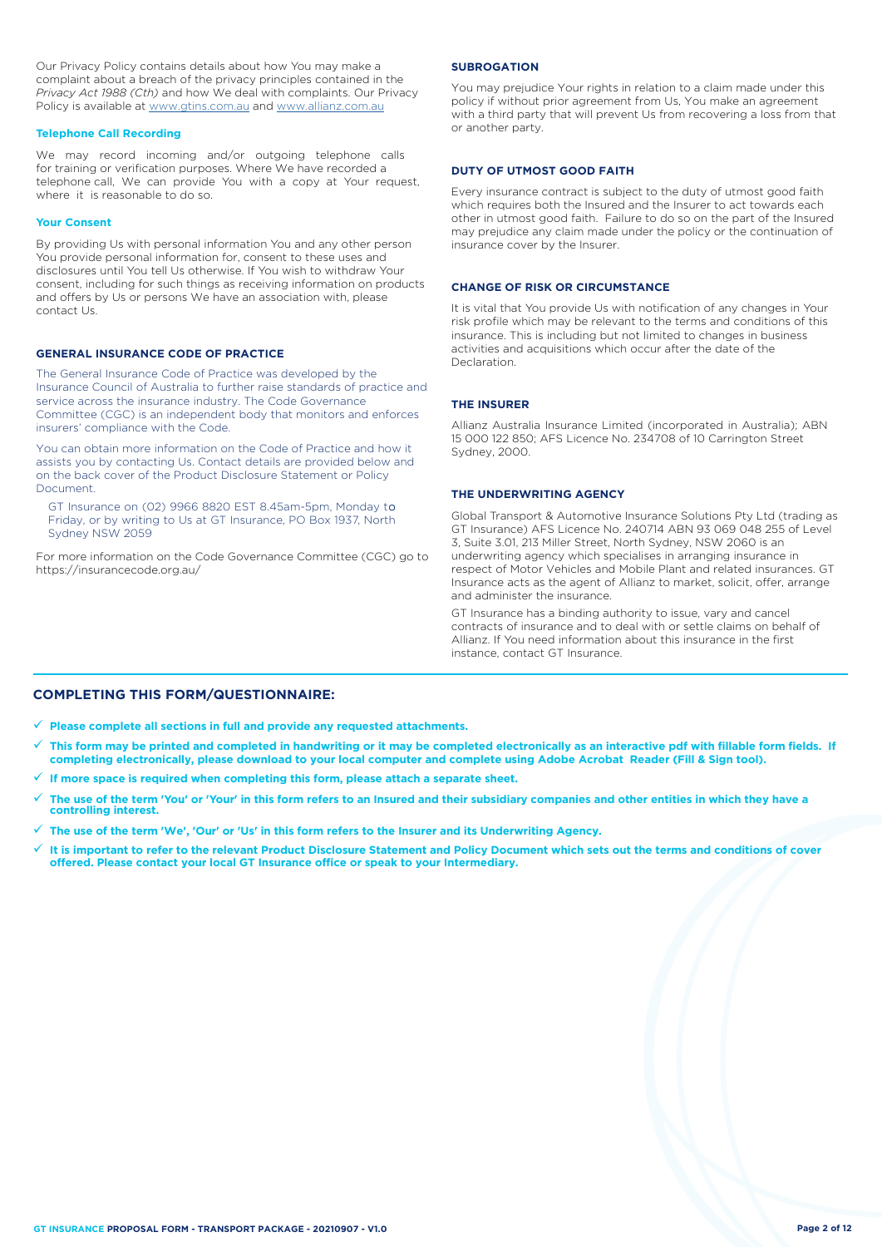Our Privacy Policy contains details about how You may make a complaint about a breach of the privacy principles contained in the *Privacy Act 1988 (Cth)* and how We deal with complaints. Our Privacy Policy is available at [www.gtins.com.au](https://www.gtins.com.au) and [www.allianz.com.au](https://www.allianz.com.au/about-us/privacy/)

#### **Telephone Call Recording**

We may record incoming and/or outgoing telephone calls for training or verification purposes. Where We have recorded a telephone call, We can provide You with a copy at Your request, where it is reasonable to do so.

#### **Your Consent**

By providing Us with personal information You and any other person You provide personal information for, consent to these uses and disclosures until You tell Us otherwise. If You wish to withdraw Your consent, including for such things as receiving information on products and offers by Us or persons We have an association with, please contact Us.

### **GENERAL INSURANCE CODE OF PRACTICE**

The General Insurance Code of Practice was developed by the Insurance Council of Australia to further raise standards of practice and service across the insurance industry. The Code Governance Committee (CGC) is an independent body that monitors and enforces insurers' compliance with the Code.

You can obtain more information on the Code of Practice and how it assists you by contacting Us. Contact details are provided below and on the back cover of the Product Disclosure Statement or Policy Document.

GT Insurance on (02) 9966 8820 EST 8.45am-5pm, Monday to Friday, or by writing to Us at GT Insurance, PO Box 1937, North Sydney NSW 2059

For more information on the Code Governance Committee (CGC) go to <https://insurancecode.org.au/>

#### **SUBROGATION**

You may prejudice Your rights in relation to a claim made under this policy if without prior agreement from Us, You make an agreement with a third party that will prevent Us from recovering a loss from that or another party.

#### **DUTY OF UTMOST GOOD FAITH**

Every insurance contract is subject to the duty of utmost good faith which requires both the Insured and the Insurer to act towards each other in utmost good faith. Failure to do so on the part of the Insured may prejudice any claim made under the policy or the continuation of insurance cover by the Insurer.

#### **CHANGE OF RISK OR CIRCUMSTANCE**

It is vital that You provide Us with notification of any changes in Your risk profile which may be relevant to the terms and conditions of this insurance. This is including but not limited to changes in business activities and acquisitions which occur after the date of the Declaration.

#### **THE INSURER**

Allianz Australia Insurance Limited (incorporated in Australia); ABN 15 000 122 850; AFS Licence No. 234708 of 10 Carrington Street Sydney, 2000.

#### **THE UNDERWRITING AGENCY**

Global Transport & Automotive Insurance Solutions Pty Ltd (trading as GT Insurance) AFS Licence No. 240714 ABN 93 069 048 255 of Level 3, Suite 3.01, 213 Miller Street, North Sydney, NSW 2060 is an underwriting agency which specialises in arranging insurance in respect of Motor Vehicles and Mobile Plant and related insurances. GT Insurance acts as the agent of Allianz to market, solicit, offer, arrange and administer the insurance.

GT Insurance has a binding authority to issue, vary and cancel contracts of insurance and to deal with or settle claims on behalf of Allianz. If You need information about this insurance in the first instance, contact GT Insurance.

## **COMPLETING THIS FORM/QUESTIONNAIRE:**

**Please complete all sections in full and provide any requested attachments.**

- **This form may be printed and completed in handwriting or it may be completed electronically as an interactive pdf with fillable form fields. If completing electronically, please download to your local computer and complete using Adobe Acrobat Reader (Fill & Sign tool).**
- **If more space is required when completing this form, please attach a separate sheet.**
- **The use of the term 'You' or 'Your' in this form refers to an Insured and their subsidiary companies and other entities in which they have a controlling interest.**
- **The use of the term 'We', 'Our' or 'Us' in this form refers to the Insurer and its Underwriting Agency.**
- **It is important to refer to the relevant Product Disclosure Statement and Policy Document which sets out the terms and conditions of cover offered. Please contact your local GT Insurance office or speak to your Intermediary.**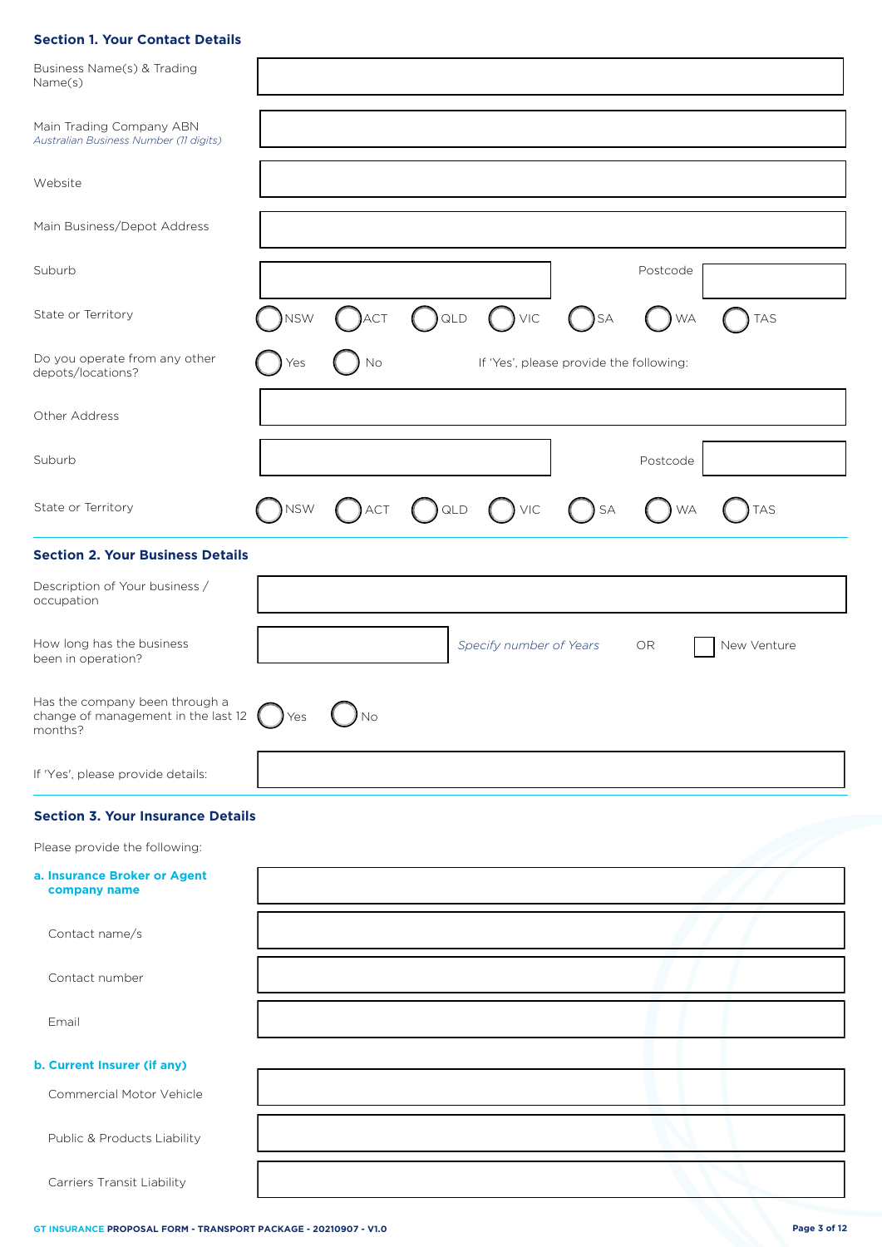# **Section 1. Your Contact Details**

| Business Name(s) & Trading<br>Name(s)                                            |                  |            |         |                         |                                         |           |             |
|----------------------------------------------------------------------------------|------------------|------------|---------|-------------------------|-----------------------------------------|-----------|-------------|
| Main Trading Company ABN<br>Australian Business Number (11 digits)               |                  |            |         |                         |                                         |           |             |
| Website                                                                          |                  |            |         |                         |                                         |           |             |
| Main Business/Depot Address                                                      |                  |            |         |                         |                                         |           |             |
| Suburb                                                                           |                  |            |         |                         |                                         | Postcode  |             |
| State or Territory                                                               | <b>NSW</b>       | <b>ACT</b> | ) QLD   | $\bigcup$ VIC           | )SA                                     | <b>WA</b> | <b>TAS</b>  |
| Do you operate from any other<br>depots/locations?                               | Yes              | No         |         |                         | If 'Yes', please provide the following: |           |             |
| Other Address                                                                    |                  |            |         |                         |                                         |           |             |
| Suburb                                                                           |                  |            |         |                         |                                         | Postcode  |             |
| State or Territory                                                               | <b>NSW</b>       | ACT        | $)$ QLD | $()$ VIC                | $\sum$ SA                               | <b>WA</b> | <b>TAS</b>  |
| <b>Section 2. Your Business Details</b>                                          |                  |            |         |                         |                                         |           |             |
| Description of Your business /<br>occupation                                     |                  |            |         |                         |                                         |           |             |
| How long has the business<br>been in operation?                                  |                  |            |         | Specify number of Years |                                         | OR        | New Venture |
| Has the company been through a<br>change of management in the last 12<br>months? | $\mathcal{V}$ es | No         |         |                         |                                         |           |             |
| If 'Yes', please provide details:                                                |                  |            |         |                         |                                         |           |             |
| <b>Section 3. Your Insurance Details</b>                                         |                  |            |         |                         |                                         |           |             |
| Please provide the following:                                                    |                  |            |         |                         |                                         |           |             |
| a. Insurance Broker or Agent<br>company name                                     |                  |            |         |                         |                                         |           |             |
| Contact name/s                                                                   |                  |            |         |                         |                                         |           |             |
| Contact number                                                                   |                  |            |         |                         |                                         |           |             |
| Email                                                                            |                  |            |         |                         |                                         |           |             |
| b. Current Insurer (if any)                                                      |                  |            |         |                         |                                         |           |             |
| Commercial Motor Vehicle                                                         |                  |            |         |                         |                                         |           |             |
| Public & Products Liability                                                      |                  |            |         |                         |                                         |           |             |
| Carriers Transit Liability                                                       |                  |            |         |                         |                                         |           |             |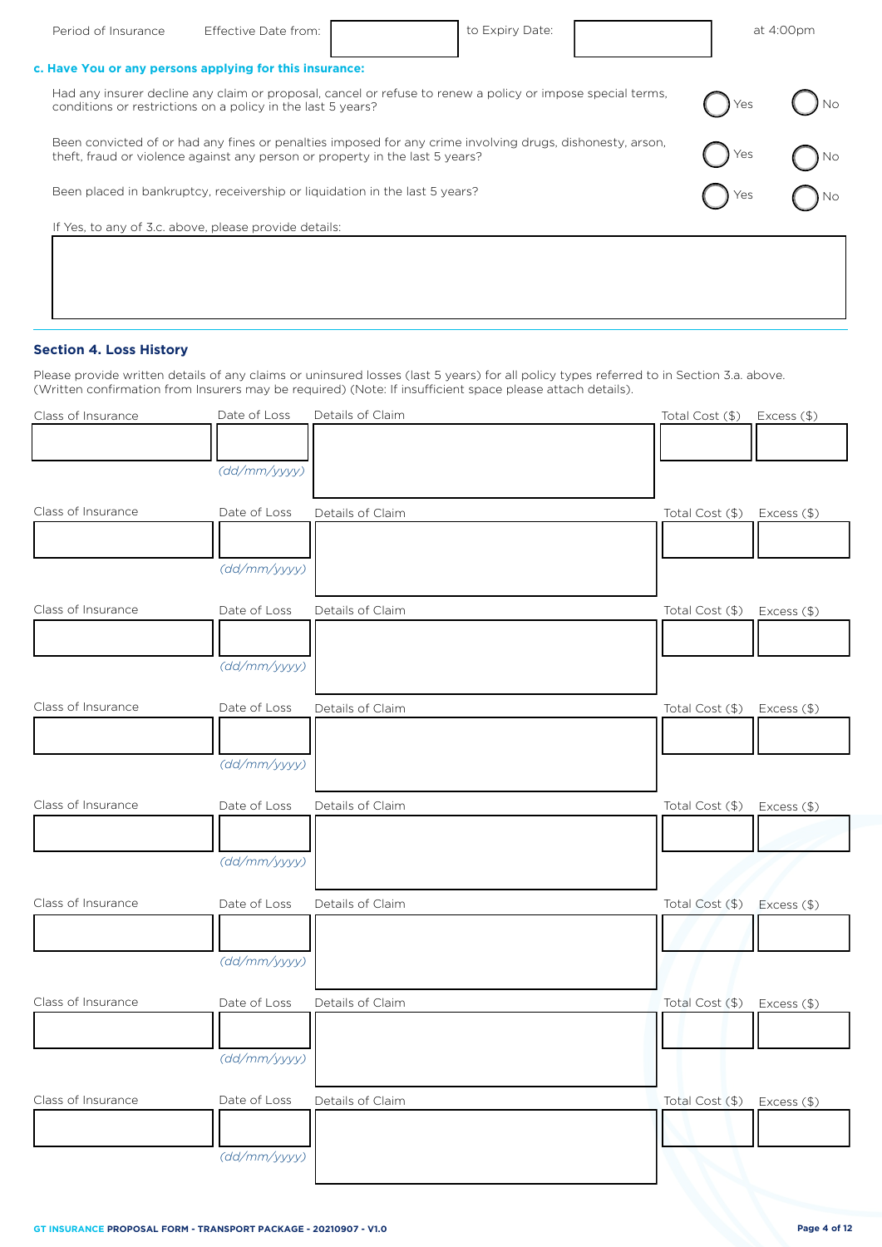| Period of Insurance | Effective Date from:                                                                                                                                                                      | to Expiry Date: |     | at 4:00pm |
|---------------------|-------------------------------------------------------------------------------------------------------------------------------------------------------------------------------------------|-----------------|-----|-----------|
|                     | c. Have You or any persons applying for this insurance:                                                                                                                                   |                 |     |           |
|                     | Had any insurer decline any claim or proposal, cancel or refuse to renew a policy or impose special terms,<br>conditions or restrictions on a policy in the last 5 years?                 |                 | Yes |           |
|                     | Been convicted of or had any fines or penalties imposed for any crime involving drugs, dishonesty, arson,<br>theft, fraud or violence against any person or property in the last 5 years? |                 | Yes |           |
|                     | Been placed in bankruptcy, receivership or liquidation in the last 5 years?                                                                                                               |                 | Yes |           |
|                     | If Yes, to any of 3.c. above, please provide details:                                                                                                                                     |                 |     |           |
|                     |                                                                                                                                                                                           |                 |     |           |

# **Section 4. Loss History**

Please provide written details of any claims or uninsured losses (last 5 years) for all policy types referred to in Section 3.a. above. (Written confirmation from Insurers may be required) (Note: If insufficient space please attach details).

| Class of Insurance | Date of Loss | Details of Claim | Total Cost (\$) Excess (\$)    |
|--------------------|--------------|------------------|--------------------------------|
|                    |              |                  |                                |
|                    | (dd/mm/yyyy) |                  |                                |
|                    |              |                  |                                |
| Class of Insurance | Date of Loss | Details of Claim | Total Cost (\$)<br>Excess (\$) |
|                    |              |                  |                                |
|                    | (dd/mm/yyyy) |                  |                                |
|                    |              |                  |                                |
| Class of Insurance | Date of Loss | Details of Claim | Total Cost (\$)<br>Excess (\$) |
|                    |              |                  |                                |
|                    | (dd/mm/yyyy) |                  |                                |
|                    |              |                  |                                |
| Class of Insurance | Date of Loss | Details of Claim | Total Cost (\$)<br>Excess (\$) |
|                    |              |                  |                                |
|                    | (dd/mm/yyyy) |                  |                                |
|                    |              |                  |                                |
| Class of Insurance | Date of Loss | Details of Claim | Total Cost (\$)<br>Excess (\$) |
|                    |              |                  |                                |
|                    | (dd/mm/yyyy) |                  |                                |
|                    |              |                  |                                |
| Class of Insurance | Date of Loss | Details of Claim | Total Cost (\$)<br>Excess (\$) |
|                    |              |                  |                                |
|                    | (dd/mm/yyyy) |                  |                                |
|                    |              |                  |                                |
| Class of Insurance | Date of Loss | Details of Claim | Total Cost (\$)<br>Excess (\$) |
|                    |              |                  |                                |
|                    | (dd/mm/yyyy) |                  |                                |
|                    |              |                  |                                |
| Class of Insurance | Date of Loss | Details of Claim | Total Cost (\$)<br>Excess (\$) |
|                    |              |                  |                                |
|                    | (dd/mm/yyyy) |                  |                                |
|                    |              |                  |                                |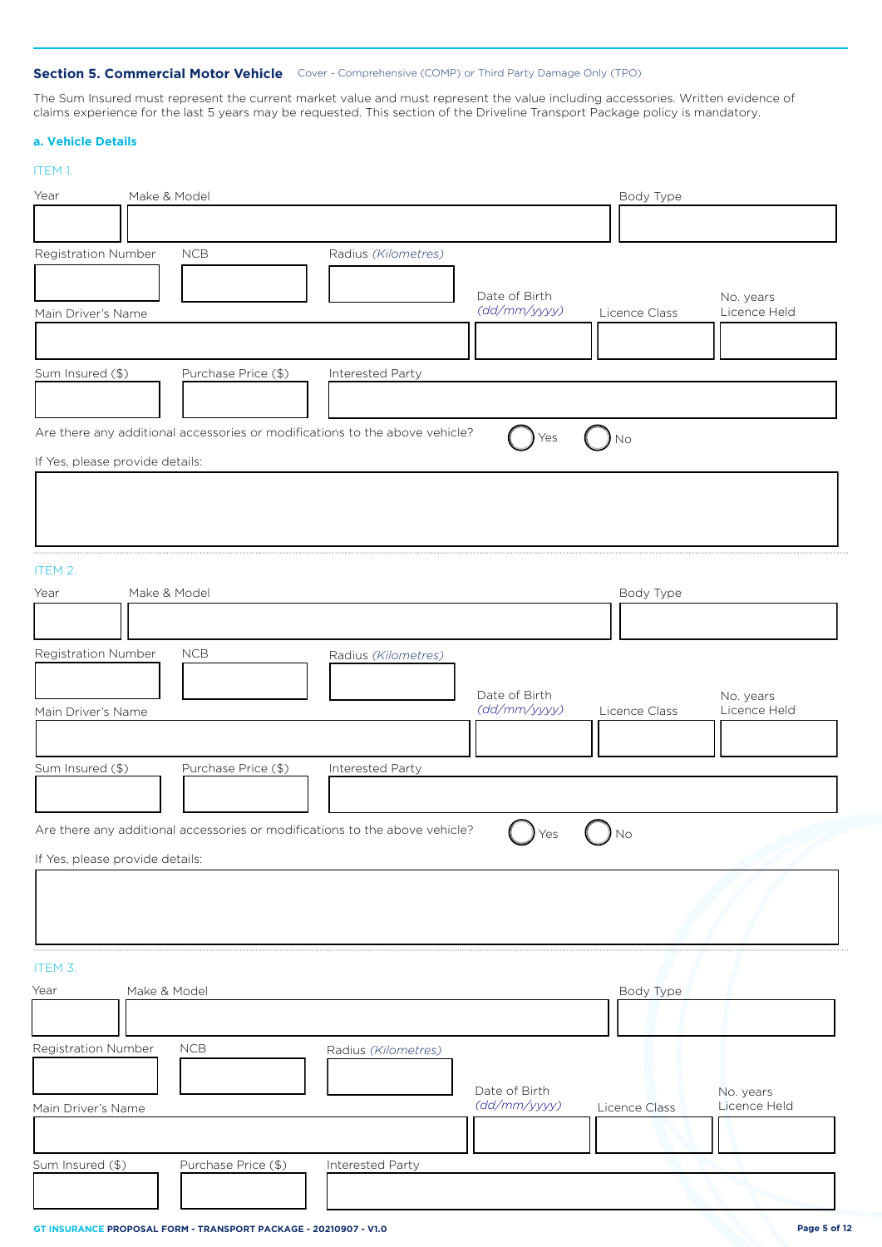## **Section 5. Commercial Motor Vehicle** Cover - Comprehensive (COMP) or Third Party Damage Only (TPO)

The Sum Insured must represent the current market value and must represent the value including accessories. Written evidence of claims experience for the last 5 years may be requested. This section of the Driveline Transport Package policy is mandatory.

## **a. Vehicle Details**

| Make & Model<br>Body Type<br>Year<br><b>NCB</b><br>Radius (Kilometres)<br>Date of Birth<br>No. years<br>(dd/mm/yyyy)<br>Licence Held<br>Licence Class<br>Main Driver's Name<br>Sum Insured (\$)<br>Purchase Price (\$)<br>Interested Party<br>Are there any additional accessories or modifications to the above vehicle?<br>Yes<br>No<br>If Yes, please provide details:<br>Make & Model<br>Body Type<br>Registration Number<br>NCB<br>Radius (Kilometres)<br>Date of Birth<br>No. years<br>(dd/mm/yyyy)<br>Licence Held<br>Licence Class<br>Main Driver's Name<br>Sum Insured (\$)<br>Purchase Price (\$)<br>Interested Party<br>Are there any additional accessories or modifications to the above vehicle?<br>) No<br>J Yes<br>If Yes, please provide details:<br>Make & Model<br>Body Type<br>NCB<br>Radius (Kilometres)<br>Date of Birth<br>No. years<br>(dd/mm/yyyy)<br>Licence Held<br>Main Driver's Name<br>Licence Class<br>Sum Insured (\$)<br>Purchase Price (\$)<br><b>Interested Party</b> | ITEM 1.             |  |  |  |
|----------------------------------------------------------------------------------------------------------------------------------------------------------------------------------------------------------------------------------------------------------------------------------------------------------------------------------------------------------------------------------------------------------------------------------------------------------------------------------------------------------------------------------------------------------------------------------------------------------------------------------------------------------------------------------------------------------------------------------------------------------------------------------------------------------------------------------------------------------------------------------------------------------------------------------------------------------------------------------------------------------|---------------------|--|--|--|
|                                                                                                                                                                                                                                                                                                                                                                                                                                                                                                                                                                                                                                                                                                                                                                                                                                                                                                                                                                                                          |                     |  |  |  |
|                                                                                                                                                                                                                                                                                                                                                                                                                                                                                                                                                                                                                                                                                                                                                                                                                                                                                                                                                                                                          |                     |  |  |  |
|                                                                                                                                                                                                                                                                                                                                                                                                                                                                                                                                                                                                                                                                                                                                                                                                                                                                                                                                                                                                          | Registration Number |  |  |  |
|                                                                                                                                                                                                                                                                                                                                                                                                                                                                                                                                                                                                                                                                                                                                                                                                                                                                                                                                                                                                          |                     |  |  |  |
|                                                                                                                                                                                                                                                                                                                                                                                                                                                                                                                                                                                                                                                                                                                                                                                                                                                                                                                                                                                                          |                     |  |  |  |
|                                                                                                                                                                                                                                                                                                                                                                                                                                                                                                                                                                                                                                                                                                                                                                                                                                                                                                                                                                                                          |                     |  |  |  |
|                                                                                                                                                                                                                                                                                                                                                                                                                                                                                                                                                                                                                                                                                                                                                                                                                                                                                                                                                                                                          |                     |  |  |  |
|                                                                                                                                                                                                                                                                                                                                                                                                                                                                                                                                                                                                                                                                                                                                                                                                                                                                                                                                                                                                          |                     |  |  |  |
|                                                                                                                                                                                                                                                                                                                                                                                                                                                                                                                                                                                                                                                                                                                                                                                                                                                                                                                                                                                                          |                     |  |  |  |
|                                                                                                                                                                                                                                                                                                                                                                                                                                                                                                                                                                                                                                                                                                                                                                                                                                                                                                                                                                                                          |                     |  |  |  |
|                                                                                                                                                                                                                                                                                                                                                                                                                                                                                                                                                                                                                                                                                                                                                                                                                                                                                                                                                                                                          |                     |  |  |  |
|                                                                                                                                                                                                                                                                                                                                                                                                                                                                                                                                                                                                                                                                                                                                                                                                                                                                                                                                                                                                          |                     |  |  |  |
|                                                                                                                                                                                                                                                                                                                                                                                                                                                                                                                                                                                                                                                                                                                                                                                                                                                                                                                                                                                                          |                     |  |  |  |
|                                                                                                                                                                                                                                                                                                                                                                                                                                                                                                                                                                                                                                                                                                                                                                                                                                                                                                                                                                                                          |                     |  |  |  |
|                                                                                                                                                                                                                                                                                                                                                                                                                                                                                                                                                                                                                                                                                                                                                                                                                                                                                                                                                                                                          | ITEM 2.             |  |  |  |
|                                                                                                                                                                                                                                                                                                                                                                                                                                                                                                                                                                                                                                                                                                                                                                                                                                                                                                                                                                                                          | Year                |  |  |  |
|                                                                                                                                                                                                                                                                                                                                                                                                                                                                                                                                                                                                                                                                                                                                                                                                                                                                                                                                                                                                          |                     |  |  |  |
|                                                                                                                                                                                                                                                                                                                                                                                                                                                                                                                                                                                                                                                                                                                                                                                                                                                                                                                                                                                                          |                     |  |  |  |
|                                                                                                                                                                                                                                                                                                                                                                                                                                                                                                                                                                                                                                                                                                                                                                                                                                                                                                                                                                                                          |                     |  |  |  |
|                                                                                                                                                                                                                                                                                                                                                                                                                                                                                                                                                                                                                                                                                                                                                                                                                                                                                                                                                                                                          |                     |  |  |  |
|                                                                                                                                                                                                                                                                                                                                                                                                                                                                                                                                                                                                                                                                                                                                                                                                                                                                                                                                                                                                          |                     |  |  |  |
|                                                                                                                                                                                                                                                                                                                                                                                                                                                                                                                                                                                                                                                                                                                                                                                                                                                                                                                                                                                                          |                     |  |  |  |
|                                                                                                                                                                                                                                                                                                                                                                                                                                                                                                                                                                                                                                                                                                                                                                                                                                                                                                                                                                                                          |                     |  |  |  |
|                                                                                                                                                                                                                                                                                                                                                                                                                                                                                                                                                                                                                                                                                                                                                                                                                                                                                                                                                                                                          |                     |  |  |  |
|                                                                                                                                                                                                                                                                                                                                                                                                                                                                                                                                                                                                                                                                                                                                                                                                                                                                                                                                                                                                          |                     |  |  |  |
|                                                                                                                                                                                                                                                                                                                                                                                                                                                                                                                                                                                                                                                                                                                                                                                                                                                                                                                                                                                                          |                     |  |  |  |
|                                                                                                                                                                                                                                                                                                                                                                                                                                                                                                                                                                                                                                                                                                                                                                                                                                                                                                                                                                                                          |                     |  |  |  |
|                                                                                                                                                                                                                                                                                                                                                                                                                                                                                                                                                                                                                                                                                                                                                                                                                                                                                                                                                                                                          |                     |  |  |  |
|                                                                                                                                                                                                                                                                                                                                                                                                                                                                                                                                                                                                                                                                                                                                                                                                                                                                                                                                                                                                          |                     |  |  |  |
|                                                                                                                                                                                                                                                                                                                                                                                                                                                                                                                                                                                                                                                                                                                                                                                                                                                                                                                                                                                                          | ITEM 3.             |  |  |  |
|                                                                                                                                                                                                                                                                                                                                                                                                                                                                                                                                                                                                                                                                                                                                                                                                                                                                                                                                                                                                          | Year                |  |  |  |
|                                                                                                                                                                                                                                                                                                                                                                                                                                                                                                                                                                                                                                                                                                                                                                                                                                                                                                                                                                                                          |                     |  |  |  |
|                                                                                                                                                                                                                                                                                                                                                                                                                                                                                                                                                                                                                                                                                                                                                                                                                                                                                                                                                                                                          | Registration Number |  |  |  |
|                                                                                                                                                                                                                                                                                                                                                                                                                                                                                                                                                                                                                                                                                                                                                                                                                                                                                                                                                                                                          |                     |  |  |  |
|                                                                                                                                                                                                                                                                                                                                                                                                                                                                                                                                                                                                                                                                                                                                                                                                                                                                                                                                                                                                          |                     |  |  |  |
|                                                                                                                                                                                                                                                                                                                                                                                                                                                                                                                                                                                                                                                                                                                                                                                                                                                                                                                                                                                                          |                     |  |  |  |
|                                                                                                                                                                                                                                                                                                                                                                                                                                                                                                                                                                                                                                                                                                                                                                                                                                                                                                                                                                                                          |                     |  |  |  |
|                                                                                                                                                                                                                                                                                                                                                                                                                                                                                                                                                                                                                                                                                                                                                                                                                                                                                                                                                                                                          |                     |  |  |  |
|                                                                                                                                                                                                                                                                                                                                                                                                                                                                                                                                                                                                                                                                                                                                                                                                                                                                                                                                                                                                          |                     |  |  |  |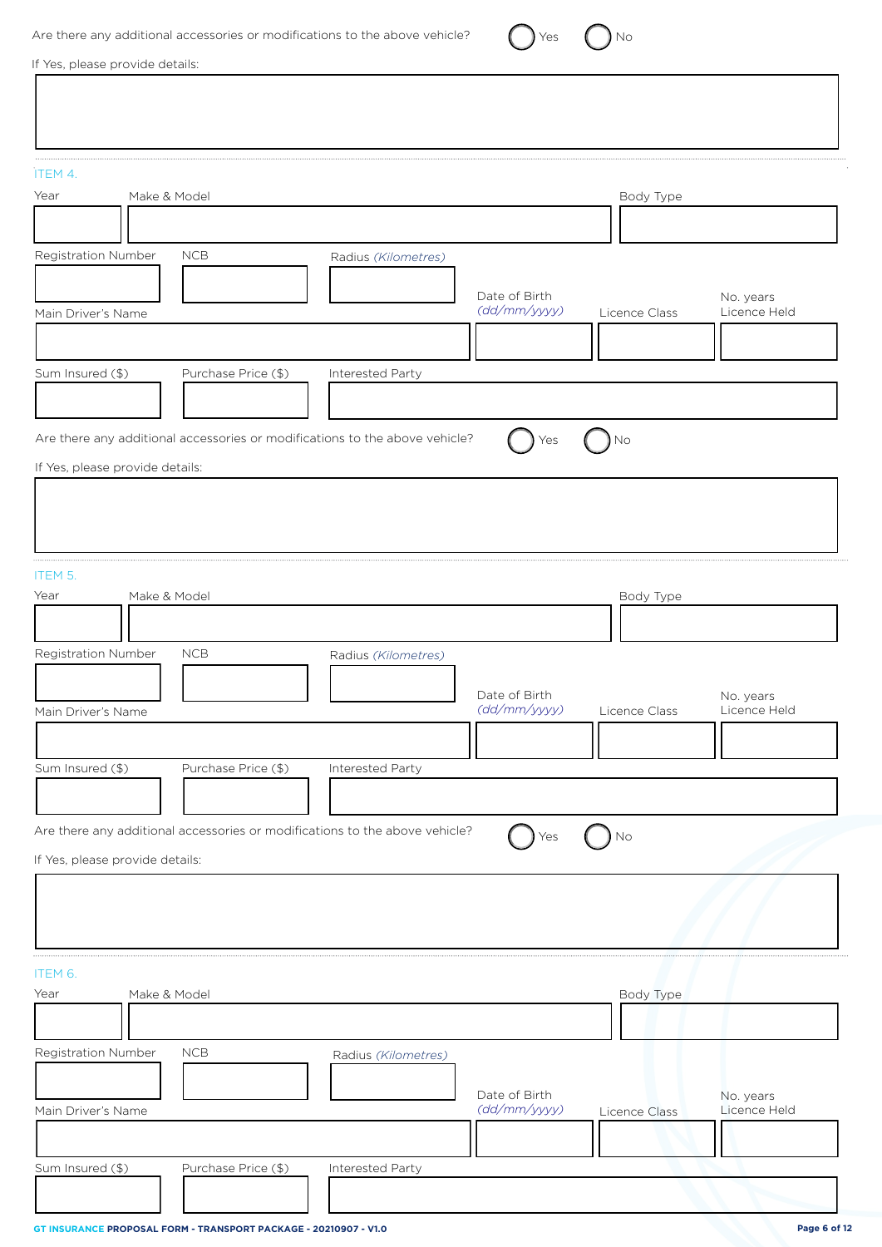| Are there any additional accessories or modifications to the above vehicle? |  |
|-----------------------------------------------------------------------------|--|
|-----------------------------------------------------------------------------|--|

 $\bigcirc$  Yes  $\bigcirc$  No

If Yes, please provide details:

| ITEM 4.                                                                            |               |                           |
|------------------------------------------------------------------------------------|---------------|---------------------------|
| Year<br>Make & Model                                                               | Body Type     |                           |
|                                                                                    |               |                           |
| Registration Number<br><b>NCB</b><br>Radius (Kilometres)                           |               |                           |
| Date of Birth<br>(dd/mm/yyyy)                                                      | Licence Class | No. years<br>Licence Held |
| Main Driver's Name                                                                 |               |                           |
| Sum Insured (\$)<br>Purchase Price (\$)<br>Interested Party                        |               |                           |
|                                                                                    |               |                           |
|                                                                                    |               |                           |
| Are there any additional accessories or modifications to the above vehicle?<br>Yes | <b>No</b>     |                           |
| If Yes, please provide details:                                                    |               |                           |
|                                                                                    |               |                           |
|                                                                                    |               |                           |
| ITEM 5.                                                                            |               |                           |
| Year<br>Make & Model                                                               | Body Type     |                           |
|                                                                                    |               |                           |
| Registration Number<br><b>NCB</b><br>Radius (Kilometres)                           |               |                           |
| Date of Birth<br>(dd/mm/yyyy)<br>Main Driver's Name                                | Licence Class | No. years<br>Licence Held |
|                                                                                    |               |                           |
| Purchase Price (\$)<br>Sum Insured (\$)<br>Interested Party                        |               |                           |
|                                                                                    |               |                           |
| Are there any additional accessories or modifications to the above vehicle?        |               |                           |
| Yes<br>If Yes, please provide details:                                             | ) No          |                           |
|                                                                                    |               |                           |
|                                                                                    |               |                           |
|                                                                                    |               |                           |
| ITEM 6.                                                                            |               |                           |
| Make & Model<br>Year                                                               | Body Type     |                           |
|                                                                                    |               |                           |
| Registration Number<br>${\sf NCB}$<br>Radius (Kilometres)                          |               |                           |
| Date of Birth<br>(dd/mm/yyyy)<br>Main Driver's Name                                |               | No. years<br>Licence Held |
|                                                                                    | Licence Class |                           |
| Sum Insured (\$)<br>Purchase Price (\$)<br><b>Interested Party</b>                 |               |                           |
|                                                                                    |               |                           |
|                                                                                    |               |                           |

L

 $\overline{\phantom{a}}$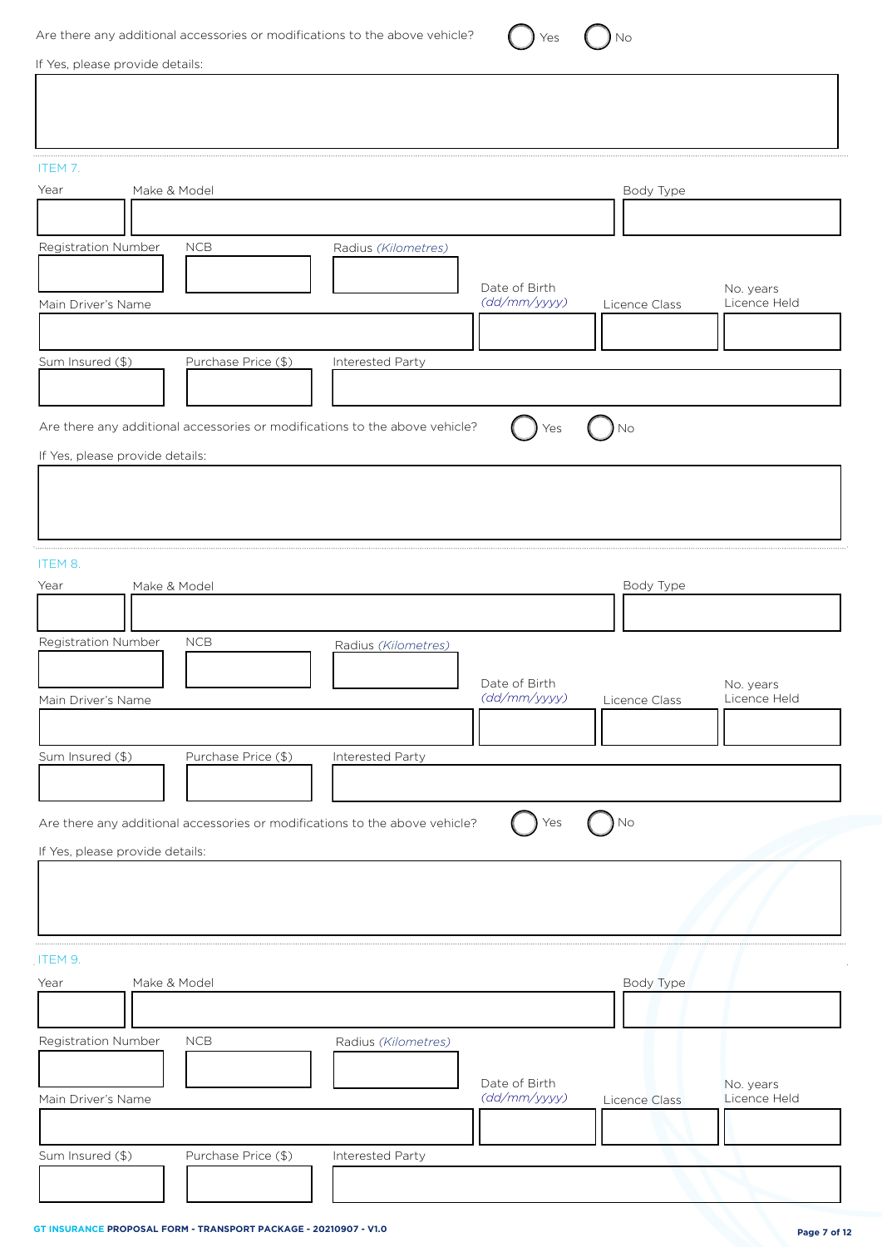| Are there any additional accessories or modifications to the above vehicle? |  | $\gamma$ $\gamma$ $\gamma$ $\gamma$ $\gamma$ $\gamma$ |  | $\left( \quad \right)$ No |
|-----------------------------------------------------------------------------|--|-------------------------------------------------------|--|---------------------------|
|-----------------------------------------------------------------------------|--|-------------------------------------------------------|--|---------------------------|

If Yes, please provide details:

| ITEM 7.<br>Year<br>Make & Model                                                                                | Body Type                                                                   |
|----------------------------------------------------------------------------------------------------------------|-----------------------------------------------------------------------------|
| Registration Number<br><b>NCB</b><br>Radius (Kilometres)                                                       |                                                                             |
| Main Driver's Name                                                                                             | Date of Birth<br>No. years<br>(dd/mm/yyyy)<br>Licence Held<br>Licence Class |
| Sum Insured (\$)<br>Purchase Price (\$)<br>Interested Party                                                    |                                                                             |
| Are there any additional accessories or modifications to the above vehicle?<br>If Yes, please provide details: | No                                                                          |
|                                                                                                                |                                                                             |
| ITEM 8.<br>Year<br>Make & Model                                                                                | Body Type                                                                   |
| Registration Number<br><b>NCB</b><br>Radius (Kilometres)<br>Main Driver's Name                                 | Date of Birth<br>No. years<br>(dd/mm/yyyy)<br>Licence Held<br>Licence Class |
| Purchase Price (\$)<br>Sum Insured (\$)<br>Interested Party                                                    |                                                                             |
| Are there any additional accessories or modifications to the above vehicle?                                    | $\sum$ No<br>Yes                                                            |
| If Yes, please provide details:                                                                                |                                                                             |
| ITEM 9.<br>Year<br>Make & Model                                                                                | Body Type                                                                   |
| Registration Number<br>NCB<br>Radius (Kilometres)                                                              | Date of Birth<br>No. years                                                  |
| Main Driver's Name<br>Sum Insured (\$)<br>Purchase Price (\$)<br>Interested Party                              | (dd/mm/yyyy)<br>Licence Held<br>Licence Class                               |
|                                                                                                                |                                                                             |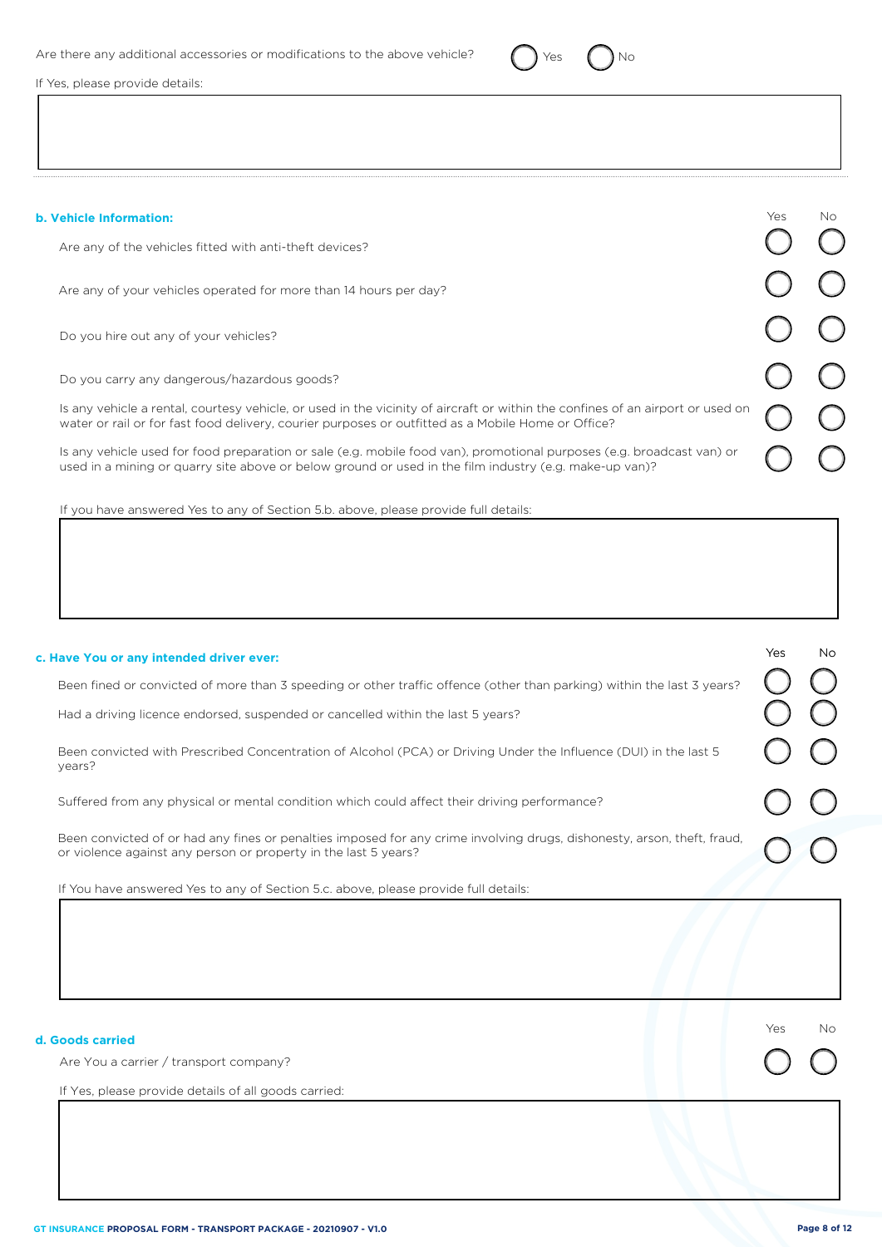

If Yes, please provide details:

| <b>b. Vehicle Information:</b>                                                                                                                                                                                                       | Yes. | No. |
|--------------------------------------------------------------------------------------------------------------------------------------------------------------------------------------------------------------------------------------|------|-----|
| Are any of the vehicles fitted with anti-theft devices?                                                                                                                                                                              |      |     |
| Are any of your vehicles operated for more than 14 hours per day?                                                                                                                                                                    |      |     |
| Do you hire out any of your vehicles?                                                                                                                                                                                                |      |     |
| Do you carry any dangerous/hazardous goods?                                                                                                                                                                                          |      |     |
| Is any vehicle a rental, courtesy vehicle, or used in the vicinity of aircraft or within the confines of an airport or used on<br>water or rail or for fast food delivery, courier purposes or outfitted as a Mobile Home or Office? |      |     |
| Is any vehicle used for food preparation or sale (e.g. mobile food van), promotional purposes (e.g. broadcast van) or<br>used in a mining or quarry site above or below ground or used in the film industry (e.g. make-up van)?      |      |     |

If you have answered Yes to any of Section 5.b. above, please provide full details:

| c. Have You or any intended driver ever:                                                                                                                                                   | Yes  | <b>No</b> |
|--------------------------------------------------------------------------------------------------------------------------------------------------------------------------------------------|------|-----------|
| Been fined or convicted of more than 3 speeding or other traffic offence (other than parking) within the last 3 years?                                                                     |      |           |
| Had a driving licence endorsed, suspended or cancelled within the last 5 years?                                                                                                            |      |           |
| Been convicted with Prescribed Concentration of Alcohol (PCA) or Driving Under the Influence (DUI) in the last 5<br>years?                                                                 |      |           |
| Suffered from any physical or mental condition which could affect their driving performance?                                                                                               |      |           |
| Been convicted of or had any fines or penalties imposed for any crime involving drugs, dishonesty, arson, theft, fraud,<br>or violence against any person or property in the last 5 years? |      |           |
| If You have answered Yes to any of Section 5.c. above, please provide full details:                                                                                                        |      |           |
|                                                                                                                                                                                            |      |           |
| d. Goods carried                                                                                                                                                                           | Yes. | No        |
| Are You a carrier / transport company?                                                                                                                                                     |      |           |
| If Yes, please provide details of all goods carried:                                                                                                                                       |      |           |
|                                                                                                                                                                                            |      |           |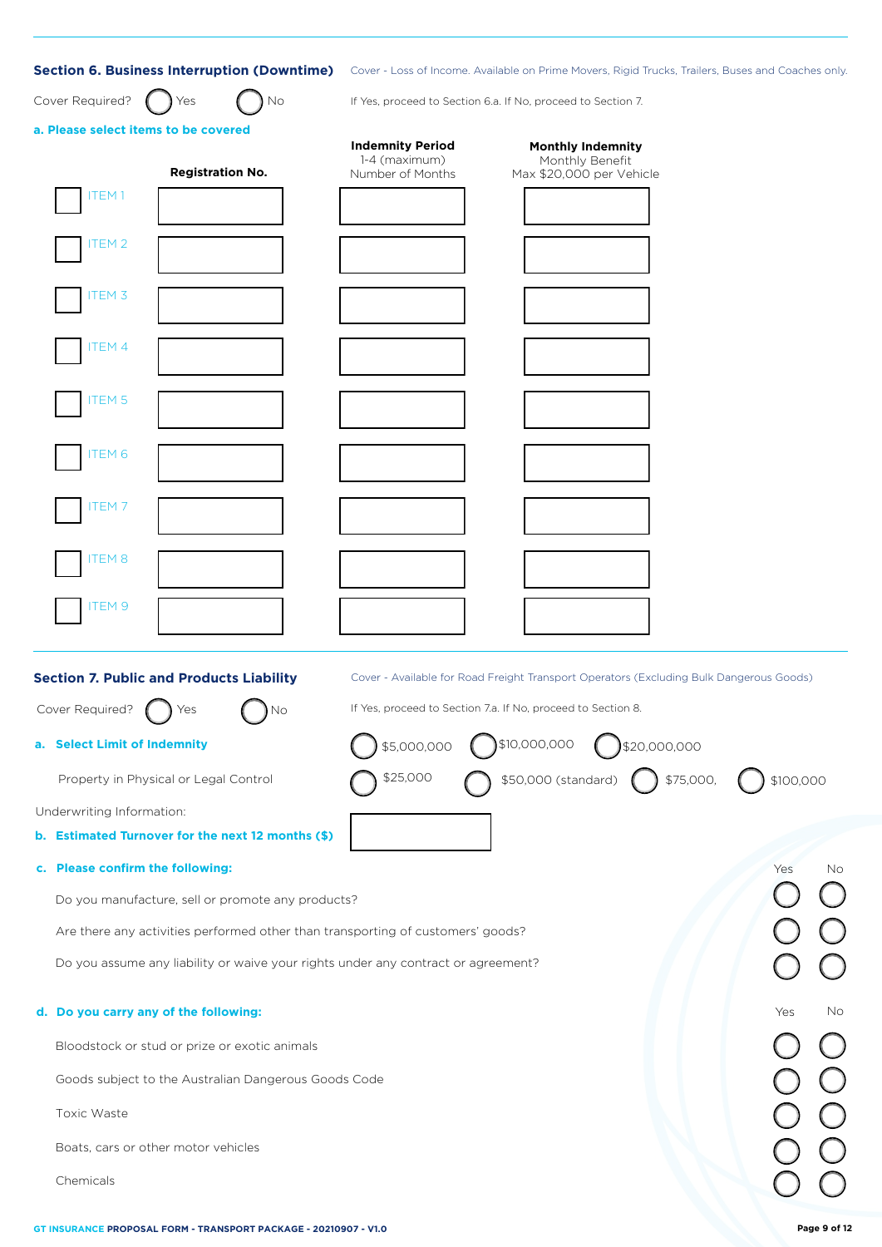| Section 6. Business Interruption (Downtime) Cover - Loss of Income. Available on Prime Movers, Rigid Trucks, Trailers, Buses and Coaches only. |                                          |                                                                                         |              |
|------------------------------------------------------------------------------------------------------------------------------------------------|------------------------------------------|-----------------------------------------------------------------------------------------|--------------|
| Cover Required?<br>No<br>Yes                                                                                                                   |                                          | If Yes, proceed to Section 6.a. If No, proceed to Section 7.                            |              |
| a. Please select items to be covered                                                                                                           | <b>Indemnity Period</b><br>1-4 (maximum) | <b>Monthly Indemnity</b><br>Monthly Benefit                                             |              |
| <b>Registration No.</b>                                                                                                                        | Number of Months                         | Max \$20,000 per Vehicle                                                                |              |
| ITEM <sub>1</sub>                                                                                                                              |                                          |                                                                                         |              |
| ITEM 2                                                                                                                                         |                                          |                                                                                         |              |
| ITEM 3                                                                                                                                         |                                          |                                                                                         |              |
|                                                                                                                                                |                                          |                                                                                         |              |
| <b>ITEM4</b>                                                                                                                                   |                                          |                                                                                         |              |
| <b>ITEM 5</b>                                                                                                                                  |                                          |                                                                                         |              |
| ITEM <sub>6</sub>                                                                                                                              |                                          |                                                                                         |              |
| ITEM 7                                                                                                                                         |                                          |                                                                                         |              |
| ITEM <sub>8</sub>                                                                                                                              |                                          |                                                                                         |              |
| ITEM 9                                                                                                                                         |                                          |                                                                                         |              |
|                                                                                                                                                |                                          |                                                                                         |              |
| <b>Section 7. Public and Products Liability</b>                                                                                                |                                          | Cover - Available for Road Freight Transport Operators (Excluding Bulk Dangerous Goods) |              |
| Cover Required?<br>Yes<br>No                                                                                                                   |                                          | If Yes, proceed to Section 7.a. If No, proceed to Section 8.                            |              |
| a. Select Limit of Indemnity                                                                                                                   | \$5,000,000                              | \$10,000,000<br>\$20,000,000                                                            |              |
| Property in Physical or Legal Control                                                                                                          | \$25,000                                 | \$50,000 (standard)<br>\$75,000,                                                        | \$100,000    |
| Underwriting Information:                                                                                                                      |                                          |                                                                                         |              |
| b. Estimated Turnover for the next 12 months (\$)                                                                                              |                                          |                                                                                         |              |
| c. Please confirm the following:                                                                                                               |                                          |                                                                                         | Yes<br>No    |
| Do you manufacture, sell or promote any products?                                                                                              |                                          |                                                                                         |              |
| Are there any activities performed other than transporting of customers' goods?                                                                |                                          |                                                                                         |              |
| Do you assume any liability or waive your rights under any contract or agreement?                                                              |                                          |                                                                                         |              |
| d. Do you carry any of the following:                                                                                                          |                                          |                                                                                         | Yes<br>No    |
| Bloodstock or stud or prize or exotic animals                                                                                                  |                                          |                                                                                         |              |
| Goods subject to the Australian Dangerous Goods Code                                                                                           |                                          |                                                                                         |              |
| Toxic Waste                                                                                                                                    |                                          |                                                                                         |              |
| Boats, cars or other motor vehicles                                                                                                            |                                          |                                                                                         |              |
| Chemicals                                                                                                                                      |                                          |                                                                                         |              |
| GT INSURANCE PROPOSAL FORM - TRANSPORT PACKAGE - 20210907 - V1.0                                                                               |                                          |                                                                                         | Page 9 of 12 |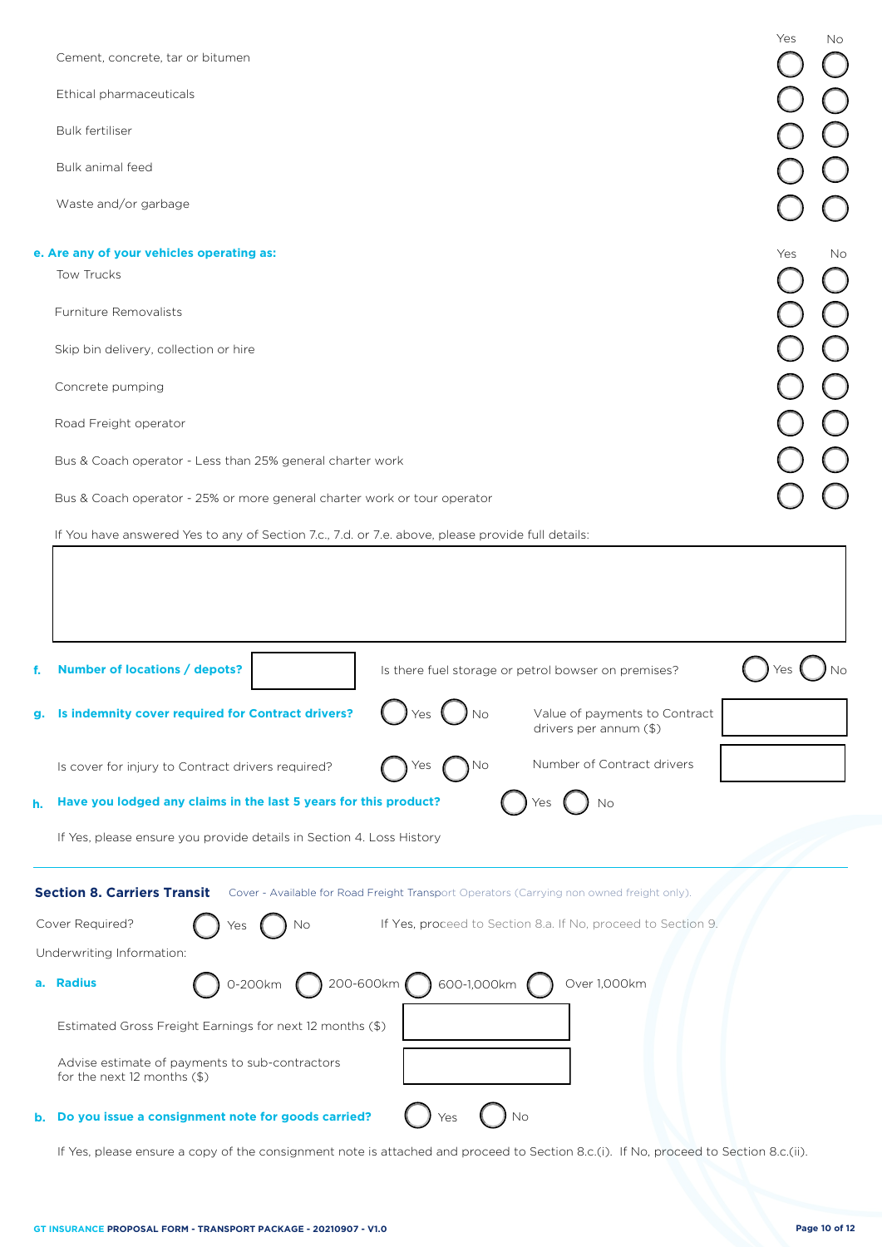|    | Cement, concrete, tar or bitumen                                                                                                | Yes<br>No |
|----|---------------------------------------------------------------------------------------------------------------------------------|-----------|
|    | Ethical pharmaceuticals                                                                                                         |           |
|    | <b>Bulk fertiliser</b>                                                                                                          |           |
|    | Bulk animal feed                                                                                                                |           |
|    | Waste and/or garbage                                                                                                            |           |
|    |                                                                                                                                 |           |
|    | e. Are any of your vehicles operating as:                                                                                       | Yes<br>No |
|    | Tow Trucks                                                                                                                      |           |
|    | Furniture Removalists                                                                                                           |           |
|    | Skip bin delivery, collection or hire                                                                                           |           |
|    | Concrete pumping                                                                                                                |           |
|    | Road Freight operator                                                                                                           |           |
|    | Bus & Coach operator - Less than 25% general charter work                                                                       |           |
|    | Bus & Coach operator - 25% or more general charter work or tour operator                                                        |           |
|    | If You have answered Yes to any of Section 7.c., 7.d. or 7.e. above, please provide full details:                               |           |
| f. | Number of locations / depots?<br>Is there fuel storage or petrol bowser on premises?                                            |           |
| g. | Is indemnity cover required for Contract drivers?<br>Value of payments to Contract<br>drivers per annum (\$)                    |           |
|    | Number of Contract drivers<br>Is cover for injury to Contract drivers required?<br>No.                                          |           |
| h. | Have you lodged any claims in the last 5 years for this product?<br>No                                                          |           |
|    | If Yes, please ensure you provide details in Section 4. Loss History                                                            |           |
|    | <b>Section 8. Carriers Transit</b><br>Cover - Available for Road Freight Transport Operators (Carrying non owned freight only). |           |
|    | Cover Required?<br>If Yes, proceed to Section 8.a. If No, proceed to Section 9.<br>No                                           |           |
|    | Underwriting Information:                                                                                                       |           |
| а. | 200-600km ( ) 600-1,000km<br>Over 1,000km<br><b>Radius</b><br>0-200km                                                           |           |
|    | Estimated Gross Freight Earnings for next 12 months (\$)                                                                        |           |
|    | Advise estimate of payments to sub-contractors<br>for the next $12$ months $(\$)$                                               |           |
| b. | No<br>Do you issue a consignment note for goods carried?<br>Yes                                                                 |           |

If Yes, please ensure a copy of the consignment note is attached and proceed to Section 8.c.(i). If No, proceed to Section 8.c.(ii).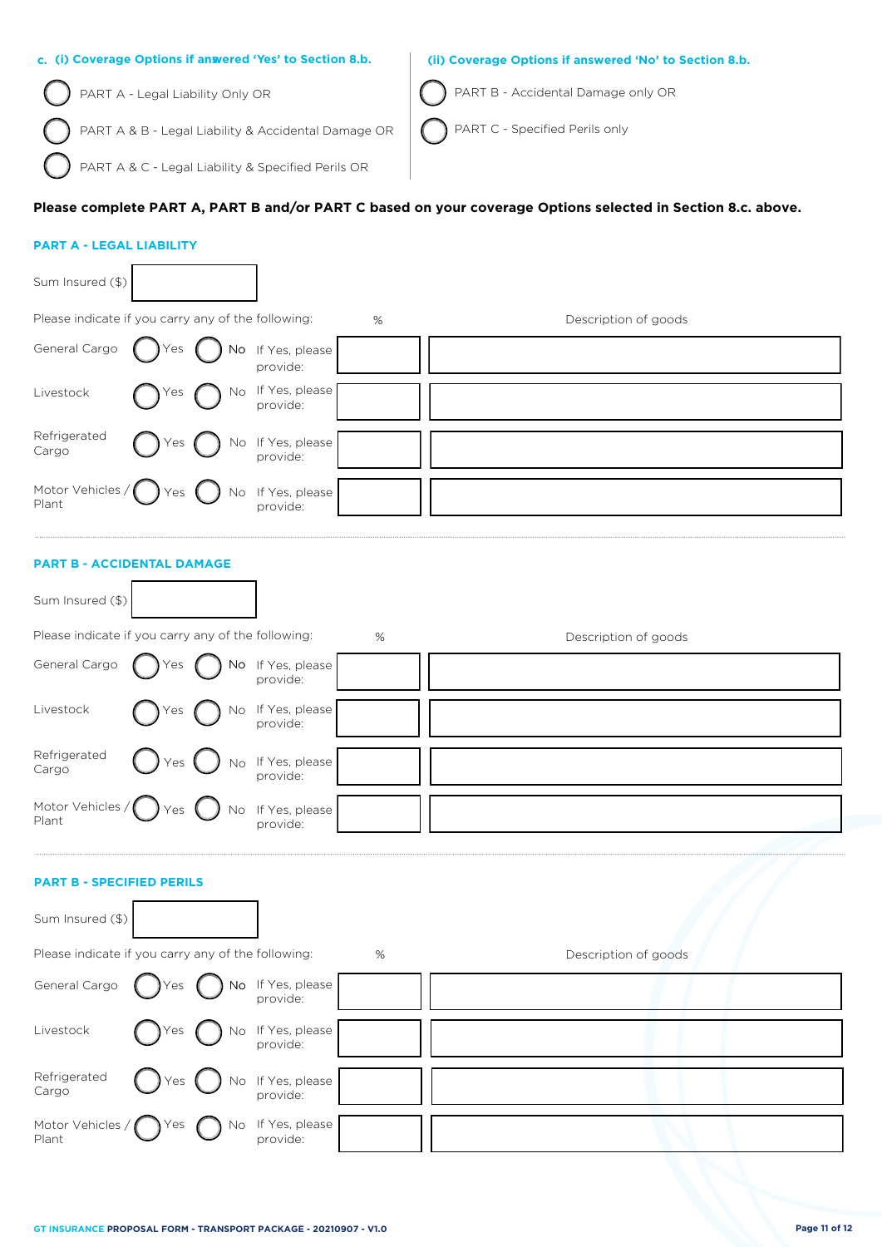| c. (i) Coverage Options if anwered 'Yes' to Section 8.b.                                 | (ii) Coverage Options if answered 'No' to Section 8.b. |
|------------------------------------------------------------------------------------------|--------------------------------------------------------|
| PART A - Legal Liability Only OR                                                         | <b>ART B - Accidental Damage only OR</b>               |
| ◯ PART A & B - Legal Liability & Accidental Damage OR │ ◯ PART C - Specified Perils only |                                                        |

# **Please complete PART A, PART B and/or PART C based on your coverage Options selected in Section 8.c. above.**

## **PART A - LEGAL LIABILITY**

PART A & C - Legal Liability & Specified Perils OR

| Sum Insured (\$)                                   |                         |    |                                                                                                         |   |                      |
|----------------------------------------------------|-------------------------|----|---------------------------------------------------------------------------------------------------------|---|----------------------|
| Please indicate if you carry any of the following: |                         |    |                                                                                                         | % | Description of goods |
| General Cargo ness ness net                        |                         |    | $\left.\begin{array}{ll}\n\text{No} & \text{If Yes, please} \\ \text{provide:} & \n\end{array}\right\}$ |   |                      |
| Livestock                                          | $\bigcap$ Yes           |    | No If Yes, please<br>provide:                                                                           |   |                      |
| Refrigerated<br>Cargo                              | $\bigcap$ Yes $\bigcap$ |    | $\sum$ No If Yes, please                                                                                |   |                      |
| Motor Vehicles $/$ $\gamma$ es<br>Plant            |                         | No | If Yes, please                                                                                          |   |                      |

## **PART B - ACCIDENTAL DAMAGE**

Refrigerated Cargo

Plant

Motor Vehicles /

| Sum Insured (\$)                 |                                                    |                               |      |                      |  |
|----------------------------------|----------------------------------------------------|-------------------------------|------|----------------------|--|
|                                  | Please indicate if you carry any of the following: |                               | $\%$ | Description of goods |  |
| General Cargo                    | <b>No</b><br>Yes                                   | If Yes, please<br>provide:    |      |                      |  |
| Livestock                        | No<br>Yes                                          | If Yes, please<br>provide:    |      |                      |  |
| Refrigerated<br>Cargo            | Yes                                                | No If Yes, please<br>provide: |      |                      |  |
| Motor Vehicles /<br>Plant        | No<br>'es                                          | If Yes, please<br>provide:    |      |                      |  |
| <b>PART B - SPECIFIED PERILS</b> |                                                    |                               |      |                      |  |
| Sum Insured (\$)                 |                                                    |                               |      |                      |  |
|                                  | Please indicate if you carry any of the following: |                               | %    | Description of goods |  |
| General Cargo                    | No                                                 | If Yes, please<br>provide:    |      |                      |  |
| Livestock                        | N٥                                                 | If Yes, please<br>provide:    |      |                      |  |

Yes  $\bigcap$  No If Yes, please

Yes  $\bigcap$  No If Yes, please

provide:

provide: